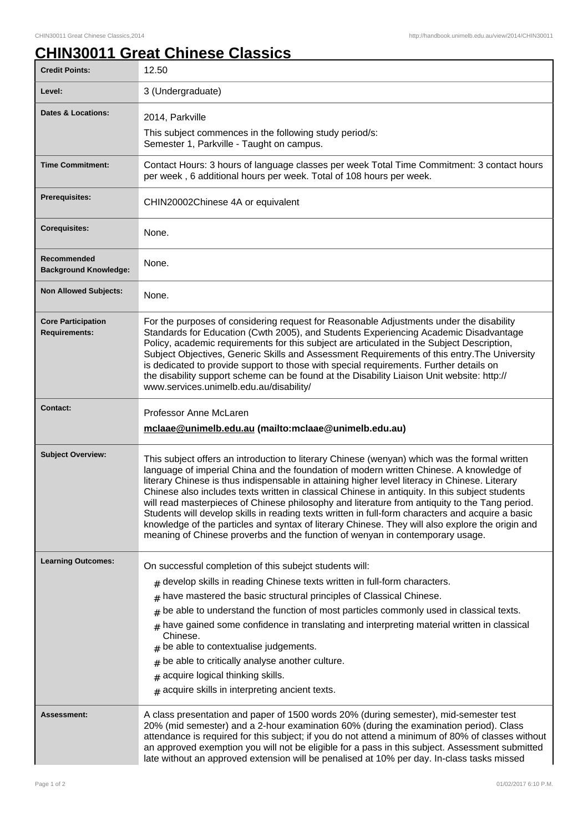## **CHIN30011 Great Chinese Classics**

| <b>Credit Points:</b>                             | 12.50                                                                                                                                                                                                                                                                                                                                                                                                                                                                                                                                                                                                                                                                                                                                                                                     |
|---------------------------------------------------|-------------------------------------------------------------------------------------------------------------------------------------------------------------------------------------------------------------------------------------------------------------------------------------------------------------------------------------------------------------------------------------------------------------------------------------------------------------------------------------------------------------------------------------------------------------------------------------------------------------------------------------------------------------------------------------------------------------------------------------------------------------------------------------------|
| Level:                                            | 3 (Undergraduate)                                                                                                                                                                                                                                                                                                                                                                                                                                                                                                                                                                                                                                                                                                                                                                         |
| <b>Dates &amp; Locations:</b>                     | 2014, Parkville                                                                                                                                                                                                                                                                                                                                                                                                                                                                                                                                                                                                                                                                                                                                                                           |
|                                                   | This subject commences in the following study period/s:<br>Semester 1, Parkville - Taught on campus.                                                                                                                                                                                                                                                                                                                                                                                                                                                                                                                                                                                                                                                                                      |
| <b>Time Commitment:</b>                           | Contact Hours: 3 hours of language classes per week Total Time Commitment: 3 contact hours<br>per week, 6 additional hours per week. Total of 108 hours per week.                                                                                                                                                                                                                                                                                                                                                                                                                                                                                                                                                                                                                         |
| <b>Prerequisites:</b>                             | CHIN20002Chinese 4A or equivalent                                                                                                                                                                                                                                                                                                                                                                                                                                                                                                                                                                                                                                                                                                                                                         |
| <b>Corequisites:</b>                              | None.                                                                                                                                                                                                                                                                                                                                                                                                                                                                                                                                                                                                                                                                                                                                                                                     |
| Recommended<br><b>Background Knowledge:</b>       | None.                                                                                                                                                                                                                                                                                                                                                                                                                                                                                                                                                                                                                                                                                                                                                                                     |
| <b>Non Allowed Subjects:</b>                      | None.                                                                                                                                                                                                                                                                                                                                                                                                                                                                                                                                                                                                                                                                                                                                                                                     |
| <b>Core Participation</b><br><b>Requirements:</b> | For the purposes of considering request for Reasonable Adjustments under the disability<br>Standards for Education (Cwth 2005), and Students Experiencing Academic Disadvantage<br>Policy, academic requirements for this subject are articulated in the Subject Description,<br>Subject Objectives, Generic Skills and Assessment Requirements of this entry. The University<br>is dedicated to provide support to those with special requirements. Further details on<br>the disability support scheme can be found at the Disability Liaison Unit website: http://<br>www.services.unimelb.edu.au/disability/                                                                                                                                                                          |
| <b>Contact:</b>                                   | Professor Anne McLaren<br>mclaae@unimelb.edu.au (mailto:mclaae@unimelb.edu.au)                                                                                                                                                                                                                                                                                                                                                                                                                                                                                                                                                                                                                                                                                                            |
| <b>Subject Overview:</b>                          | This subject offers an introduction to literary Chinese (wenyan) which was the formal written<br>language of imperial China and the foundation of modern written Chinese. A knowledge of<br>literary Chinese is thus indispensable in attaining higher level literacy in Chinese. Literary<br>Chinese also includes texts written in classical Chinese in antiquity. In this subject students<br>will read masterpieces of Chinese philosophy and literature from antiquity to the Tang period.<br>Students will develop skills in reading texts written in full-form characters and acquire a basic<br>knowledge of the particles and syntax of literary Chinese. They will also explore the origin and<br>meaning of Chinese proverbs and the function of wenyan in contemporary usage. |
| <b>Learning Outcomes:</b>                         | On successful completion of this subejct students will:                                                                                                                                                                                                                                                                                                                                                                                                                                                                                                                                                                                                                                                                                                                                   |
|                                                   | develop skills in reading Chinese texts written in full-form characters.<br>#                                                                                                                                                                                                                                                                                                                                                                                                                                                                                                                                                                                                                                                                                                             |
|                                                   | have mastered the basic structural principles of Classical Chinese.                                                                                                                                                                                                                                                                                                                                                                                                                                                                                                                                                                                                                                                                                                                       |
|                                                   | be able to understand the function of most particles commonly used in classical texts.<br>#                                                                                                                                                                                                                                                                                                                                                                                                                                                                                                                                                                                                                                                                                               |
|                                                   | have gained some confidence in translating and interpreting material written in classical<br>#<br>Chinese.                                                                                                                                                                                                                                                                                                                                                                                                                                                                                                                                                                                                                                                                                |
|                                                   | be able to contextualise judgements.                                                                                                                                                                                                                                                                                                                                                                                                                                                                                                                                                                                                                                                                                                                                                      |
|                                                   | be able to critically analyse another culture.                                                                                                                                                                                                                                                                                                                                                                                                                                                                                                                                                                                                                                                                                                                                            |
|                                                   | acquire logical thinking skills.<br>#                                                                                                                                                                                                                                                                                                                                                                                                                                                                                                                                                                                                                                                                                                                                                     |
|                                                   | acquire skills in interpreting ancient texts.                                                                                                                                                                                                                                                                                                                                                                                                                                                                                                                                                                                                                                                                                                                                             |
| Assessment:                                       | A class presentation and paper of 1500 words 20% (during semester), mid-semester test<br>20% (mid semester) and a 2-hour examination 60% (during the examination period). Class<br>attendance is required for this subject; if you do not attend a minimum of 80% of classes without<br>an approved exemption you will not be eligible for a pass in this subject. Assessment submitted<br>late without an approved extension will be penalised at 10% per day. In-class tasks missed                                                                                                                                                                                                                                                                                                     |